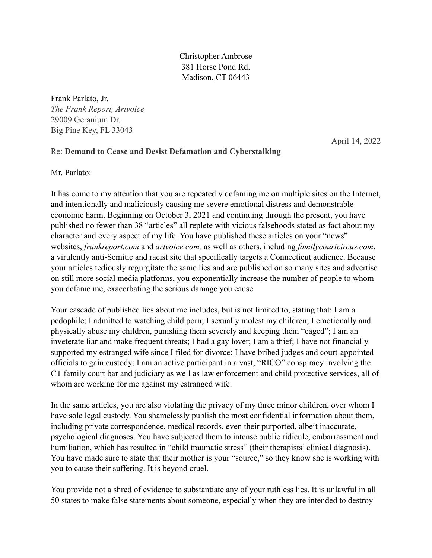Christopher Ambrose 381 Horse Pond Rd. Madison, CT 06443

Frank Parlato, Jr. *The Frank Report, Artvoice*  29009 Geranium Dr. Big Pine Key, FL 33043

April 14, 2022

# Re: **Demand to Cease and Desist Defamation and Cyberstalking**

Mr. Parlato:

It has come to my attention that you are repeatedly defaming me on multiple sites on the Internet, and intentionally and maliciously causing me severe emotional distress and demonstrable economic harm. Beginning on October 3, 2021 and continuing through the present, you have published no fewer than 38 "articles" all replete with vicious falsehoods stated as fact about my character and every aspect of my life. You have published these articles on your "news" websites, *frankreport.com* and *artvoice.com,* as well as others, including *familycourtcircus.com*, a virulently anti-Semitic and racist site that specifically targets a Connecticut audience. Because your articles tediously regurgitate the same lies and are published on so many sites and advertise on still more social media platforms, you exponentially increase the number of people to whom you defame me, exacerbating the serious damage you cause.

Your cascade of published lies about me includes, but is not limited to, stating that: I am a pedophile; I admitted to watching child porn; I sexually molest my children; I emotionally and physically abuse my children, punishing them severely and keeping them "caged"; I am an inveterate liar and make frequent threats; I had a gay lover; I am a thief; I have not financially supported my estranged wife since I filed for divorce; I have bribed judges and court-appointed officials to gain custody; I am an active participant in a vast, "RICO" conspiracy involving the CT family court bar and judiciary as well as law enforcement and child protective services, all of whom are working for me against my estranged wife.

In the same articles, you are also violating the privacy of my three minor children, over whom I have sole legal custody. You shamelessly publish the most confidential information about them, including private correspondence, medical records, even their purported, albeit inaccurate, psychological diagnoses. You have subjected them to intense public ridicule, embarrassment and humiliation, which has resulted in "child traumatic stress" (their therapists' clinical diagnosis). You have made sure to state that their mother is your "source," so they know she is working with you to cause their suffering. It is beyond cruel.

You provide not a shred of evidence to substantiate any of your ruthless lies. It is unlawful in all 50 states to make false statements about someone, especially when they are intended to destroy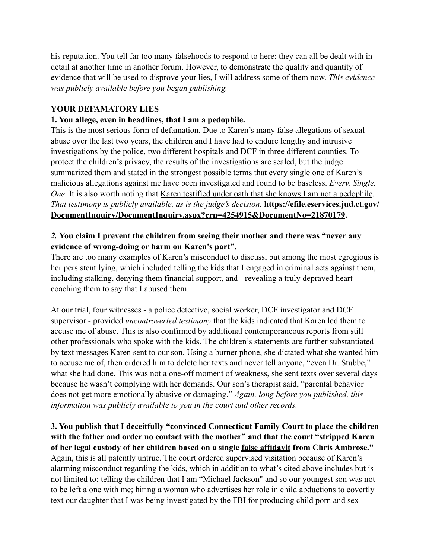his reputation. You tell far too many falsehoods to respond to here; they can all be dealt with in detail at another time in another forum. However, to demonstrate the quality and quantity of evidence that will be used to disprove your lies, I will address some of them now. *This evidence was publicly available before you began publishing.*

## **YOUR DEFAMATORY LIES**

### **1. You allege, even in headlines, that I am a pedophile.**

This is the most serious form of defamation. Due to Karen's many false allegations of sexual abuse over the last two years, the children and I have had to endure lengthy and intrusive investigations by the police, two different hospitals and DCF in three different counties. To protect the children's privacy, the results of the investigations are sealed, but the judge summarized them and stated in the strongest possible terms that every single one of Karen's malicious allegations against me have been investigated and found to be baseless. *Every. Single. One*. It is also worth noting that <u>Karen testified under oath that she knows I am not a pedophile</u>. *That testimony is publicly available, as is the judge's decision.* **[https://efile.eservices.jud.ct.gov/](https://efile.eservices.jud.ct.gov/DocumentInquiry/DocumentInquiry.aspx?crn=4254915&DocumentNo=21870179) [DocumentInquiry/DocumentInquiry.aspx?crn=4254915&DocumentNo=21870179](https://efile.eservices.jud.ct.gov/DocumentInquiry/DocumentInquiry.aspx?crn=4254915&DocumentNo=21870179).**

### *2.* **You claim I prevent the children from seeing their mother and there was "never any evidence of wrong-doing or harm on Karen's part".**

There are too many examples of Karen's misconduct to discuss, but among the most egregious is her persistent lying, which included telling the kids that I engaged in criminal acts against them, including stalking, denying them financial support, and - revealing a truly depraved heart coaching them to say that I abused them.

At our trial, four witnesses - a police detective, social worker, DCF investigator and DCF supervisor - provided *uncontroverted testimony* that the kids indicated that Karen led them to accuse me of abuse. This is also confirmed by additional contemporaneous reports from still other professionals who spoke with the kids. The children's statements are further substantiated by text messages Karen sent to our son. Using a burner phone, she dictated what she wanted him to accuse me of, then ordered him to delete her texts and never tell anyone, "even Dr. Stubbe," what she had done. This was not a one-off moment of weakness, she sent texts over several days because he wasn't complying with her demands. Our son's therapist said, "parental behavior does not get more emotionally abusive or damaging." *Again, long before you published, this information was publicly available to you in the court and other records.* 

**3. You publish that I deceitfully "convinced Connecticut Family Court to place the children with the father and order no contact with the mother" and that the court "stripped Karen of her legal custody of her children based on a single false affidavit from Chris Ambrose."**  Again, this is all patently untrue. The court ordered supervised visitation because of Karen's alarming misconduct regarding the kids, which in addition to what's cited above includes but is not limited to: telling the children that I am "Michael Jackson" and so our youngest son was not to be left alone with me; hiring a woman who advertises her role in child abductions to covertly text our daughter that I was being investigated by the FBI for producing child porn and sex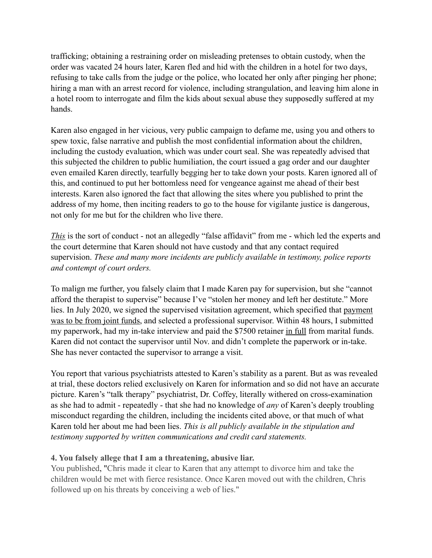trafficking; obtaining a restraining order on misleading pretenses to obtain custody, when the order was vacated 24 hours later, Karen fled and hid with the children in a hotel for two days, refusing to take calls from the judge or the police, who located her only after pinging her phone; hiring a man with an arrest record for violence, including strangulation, and leaving him alone in a hotel room to interrogate and film the kids about sexual abuse they supposedly suffered at my hands.

Karen also engaged in her vicious, very public campaign to defame me, using you and others to spew toxic, false narrative and publish the most confidential information about the children, including the custody evaluation, which was under court seal. She was repeatedly advised that this subjected the children to public humiliation, the court issued a gag order and our daughter even emailed Karen directly, tearfully begging her to take down your posts. Karen ignored all of this, and continued to put her bottomless need for vengeance against me ahead of their best interests. Karen also ignored the fact that allowing the sites where you published to print the address of my home, then inciting readers to go to the house for vigilante justice is dangerous, not only for me but for the children who live there.

*This* is the sort of conduct - not an allegedly "false affidavit" from me - which led the experts and the court determine that Karen should not have custody and that any contact required supervision. *These and many more incidents are publicly available in testimony, police reports and contempt of court orders.*

To malign me further, you falsely claim that I made Karen pay for supervision, but she "cannot afford the therapist to supervise" because I've "stolen her money and left her destitute." More lies. In July 2020, we signed the supervised visitation agreement, which specified that payment was to be from joint funds, and selected a professional supervisor. Within 48 hours, I submitted my paperwork, had my in-take interview and paid the \$7500 retainer in full from marital funds. Karen did not contact the supervisor until Nov. and didn't complete the paperwork or in-take. She has never contacted the supervisor to arrange a visit.

You report that various psychiatrists attested to Karen's stability as a parent. But as was revealed at trial, these doctors relied exclusively on Karen for information and so did not have an accurate picture. Karen's "talk therapy" psychiatrist, Dr. Coffey, literally withered on cross-examination as she had to admit - repeatedly - that she had no knowledge of *any* of Karen's deeply troubling misconduct regarding the children, including the incidents cited above, or that much of what Karen told her about me had been lies. *This is all publicly available in the stipulation and testimony supported by written communications and credit card statements.* 

#### **4. You falsely allege that I am a threatening, abusive liar.**

You published, "Chris made it clear to Karen that any attempt to divorce him and take the children would be met with fierce resistance. Once Karen moved out with the children, Chris followed up on his threats by conceiving a web of lies."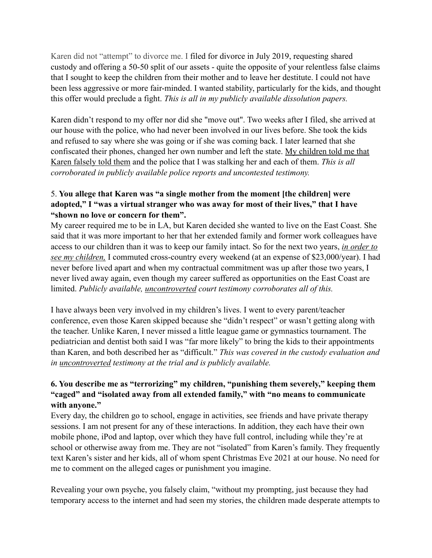Karen did not "attempt" to divorce me. I filed for divorce in July 2019, requesting shared custody and offering a 50-50 split of our assets - quite the opposite of your relentless false claims that I sought to keep the children from their mother and to leave her destitute. I could not have been less aggressive or more fair-minded. I wanted stability, particularly for the kids, and thought this offer would preclude a fight. *This is all in my publicly available dissolution papers.*

Karen didn't respond to my offer nor did she "move out". Two weeks after I filed, she arrived at our house with the police, who had never been involved in our lives before. She took the kids and refused to say where she was going or if she was coming back. I later learned that she confiscated their phones, changed her own number and left the state. My children told me that Karen falsely told them and the police that I was stalking her and each of them. *This is all corroborated in publicly available police reports and uncontested testimony.* 

## 5. **You allege that Karen was "a single mother from the moment [the children] were adopted," I "was a virtual stranger who was away for most of their lives," that I have "shown no love or concern for them".**

My career required me to be in LA, but Karen decided she wanted to live on the East Coast. She said that it was more important to her that her extended family and former work colleagues have access to our children than it was to keep our family intact. So for the next two years, *in order to see my children,* I commuted cross-country every weekend (at an expense of \$23,000/year). I had never before lived apart and when my contractual commitment was up after those two years, I never lived away again, even though my career suffered as opportunities on the East Coast are limited. *Publicly available, uncontroverted court testimony corroborates all of this.* 

I have always been very involved in my children's lives. I went to every parent/teacher conference, even those Karen skipped because she "didn't respect" or wasn't getting along with the teacher. Unlike Karen, I never missed a little league game or gymnastics tournament. The pediatrician and dentist both said I was "far more likely" to bring the kids to their appointments than Karen, and both described her as "difficult." *This was covered in the custody evaluation and in uncontroverted testimony at the trial and is publicly available.* 

## **6. You describe me as "terrorizing" my children, "punishing them severely," keeping them "caged" and "isolated away from all extended family," with "no means to communicate with anyone."**

Every day, the children go to school, engage in activities, see friends and have private therapy sessions. I am not present for any of these interactions. In addition, they each have their own mobile phone, iPod and laptop, over which they have full control, including while they're at school or otherwise away from me. They are not "isolated" from Karen's family. They frequently text Karen's sister and her kids, all of whom spent Christmas Eve 2021 at our house. No need for me to comment on the alleged cages or punishment you imagine.

Revealing your own psyche, you falsely claim, "without my prompting, just because they had temporary access to the internet and had seen my stories, the children made desperate attempts to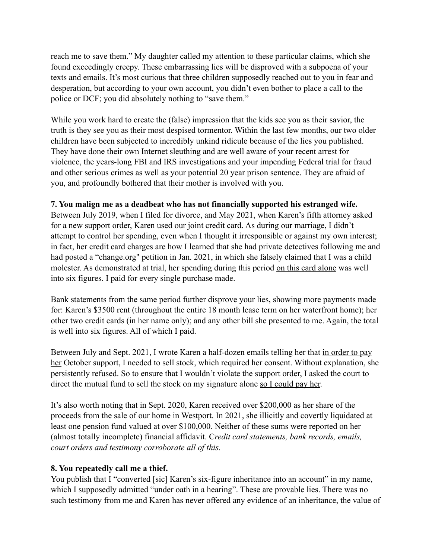reach me to save them." My daughter called my attention to these particular claims, which she found exceedingly creepy. These embarrassing lies will be disproved with a subpoena of your texts and emails. It's most curious that three children supposedly reached out to you in fear and desperation, but according to your own account, you didn't even bother to place a call to the police or DCF; you did absolutely nothing to "save them."

While you work hard to create the (false) impression that the kids see you as their savior, the truth is they see you as their most despised tormentor. Within the last few months, our two older children have been subjected to incredibly unkind ridicule because of the lies you published. They have done their own Internet sleuthing and are well aware of your recent arrest for violence, the years-long FBI and IRS investigations and your impending Federal trial for fraud and other serious crimes as well as your potential 20 year prison sentence. They are afraid of you, and profoundly bothered that their mother is involved with you.

#### **7. You malign me as a deadbeat who has not financially supported his estranged wife.**

Between July 2019, when I filed for divorce, and May 2021, when Karen's fifth attorney asked for a new support order, Karen used our joint credit card. As during our marriage, I didn't attempt to control her spending, even when I thought it irresponsible or against my own interest; in fact, her credit card charges are how I learned that she had private detectives following me and had posted a ["change.org](http://change.org)" petition in Jan. 2021, in which she falsely claimed that I was a child molester. As demonstrated at trial, her spending during this period on this card alone was well into six figures. I paid for every single purchase made.

Bank statements from the same period further disprove your lies, showing more payments made for: Karen's \$3500 rent (throughout the entire 18 month lease term on her waterfront home); her other two credit cards (in her name only); and any other bill she presented to me. Again, the total is well into six figures. All of which I paid.

Between July and Sept. 2021, I wrote Karen a half-dozen emails telling her that in order to pay her October support, I needed to sell stock, which required her consent. Without explanation, she persistently refused. So to ensure that I wouldn't violate the support order, I asked the court to direct the mutual fund to sell the stock on my signature alone so I could pay her.

It's also worth noting that in Sept. 2020, Karen received over \$200,000 as her share of the proceeds from the sale of our home in Westport. In 2021, she illicitly and covertly liquidated at least one pension fund valued at over \$100,000. Neither of these sums were reported on her (almost totally incomplete) financial affidavit. C*redit card statements, bank records, emails, court orders and testimony corroborate all of this.*

#### **8. You repeatedly call me a thief.**

You publish that I "converted [sic] Karen's six-figure inheritance into an account" in my name, which I supposedly admitted "under oath in a hearing". These are provable lies. There was no such testimony from me and Karen has never offered any evidence of an inheritance, the value of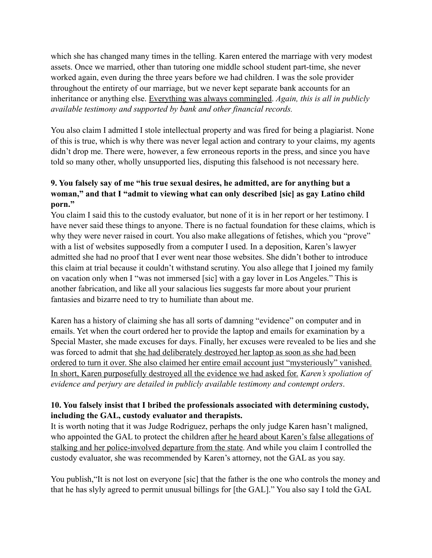which she has changed many times in the telling. Karen entered the marriage with very modest assets. Once we married, other than tutoring one middle school student part-time, she never worked again, even during the three years before we had children. I was the sole provider throughout the entirety of our marriage, but we never kept separate bank accounts for an inheritance or anything else. Everything was always commingled. *Again, this is all in publicly available testimony and supported by bank and other financial records.* 

You also claim I admitted I stole intellectual property and was fired for being a plagiarist. None of this is true, which is why there was never legal action and contrary to your claims, my agents didn't drop me. There were, however, a few erroneous reports in the press, and since you have told so many other, wholly unsupported lies, disputing this falsehood is not necessary here.

## **9. You falsely say of me "his true sexual desires, he admitted, are for anything but a woman," and that I "admit to viewing what can only described [sic] as gay Latino child porn."**

You claim I said this to the custody evaluator, but none of it is in her report or her testimony. I have never said these things to anyone. There is no factual foundation for these claims, which is why they were never raised in court. You also make allegations of fetishes, which you "prove" with a list of websites supposedly from a computer I used. In a deposition, Karen's lawyer admitted she had no proof that I ever went near those websites. She didn't bother to introduce this claim at trial because it couldn't withstand scrutiny. You also allege that I joined my family on vacation only when I "was not immersed [sic] with a gay lover in Los Angeles." This is another fabrication, and like all your salacious lies suggests far more about your prurient fantasies and bizarre need to try to humiliate than about me.

Karen has a history of claiming she has all sorts of damning "evidence" on computer and in emails. Yet when the court ordered her to provide the laptop and emails for examination by a Special Master, she made excuses for days. Finally, her excuses were revealed to be lies and she was forced to admit that she had deliberately destroyed her laptop as soon as she had been ordered to turn it over. She also claimed her entire email account just "mysteriously" vanished. In short, Karen purposefully destroyed all the evidence we had asked for. *Karen's spoliation of evidence and perjury are detailed in publicly available testimony and contempt orders*.

#### **10. You falsely insist that I bribed the professionals associated with determining custody, including the GAL, custody evaluator and therapists.**

It is worth noting that it was Judge Rodriguez, perhaps the only judge Karen hasn't maligned, who appointed the GAL to protect the children after he heard about Karen's false allegations of stalking and her police-involved departure from the state. And while you claim I controlled the custody evaluator, she was recommended by Karen's attorney, not the GAL as you say.

You publish,"It is not lost on everyone [sic] that the father is the one who controls the money and that he has slyly agreed to permit unusual billings for [the GAL]." You also say I told the GAL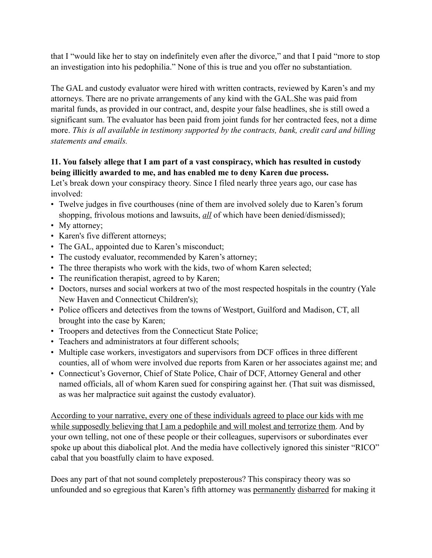that I "would like her to stay on indefinitely even after the divorce," and that I paid "more to stop an investigation into his pedophilia." None of this is true and you offer no substantiation.

The GAL and custody evaluator were hired with written contracts, reviewed by Karen's and my attorneys. There are no private arrangements of any kind with the GAL.She was paid from marital funds, as provided in our contract, and, despite your false headlines, she is still owed a significant sum. The evaluator has been paid from joint funds for her contracted fees, not a dime more. *This is all available in testimony supported by the contracts, bank, credit card and billing statements and emails.* 

## **11. You falsely allege that I am part of a vast conspiracy, which has resulted in custody being illicitly awarded to me, and has enabled me to deny Karen due process.**

Let's break down your conspiracy theory. Since I filed nearly three years ago, our case has involved:

- Twelve judges in five courthouses (nine of them are involved solely due to Karen's forum shopping, frivolous motions and lawsuits, *all* of which have been denied/dismissed);
- My attorney;
- Karen's five different attorneys;
- The GAL, appointed due to Karen's misconduct;
- The custody evaluator, recommended by Karen's attorney;
- The three therapists who work with the kids, two of whom Karen selected;
- The reunification therapist, agreed to by Karen;
- Doctors, nurses and social workers at two of the most respected hospitals in the country (Yale New Haven and Connecticut Children's);
- Police officers and detectives from the towns of Westport, Guilford and Madison, CT, all brought into the case by Karen;
- Troopers and detectives from the Connecticut State Police;
- Teachers and administrators at four different schools;
- Multiple case workers, investigators and supervisors from DCF offices in three different counties, all of whom were involved due reports from Karen or her associates against me; and
- Connecticut's Governor, Chief of State Police, Chair of DCF, Attorney General and other named officials, all of whom Karen sued for conspiring against her. (That suit was dismissed, as was her malpractice suit against the custody evaluator).

According to your narrative, every one of these individuals agreed to place our kids with me while supposedly believing that I am a pedophile and will molest and terrorize them. And by your own telling, not one of these people or their colleagues, supervisors or subordinates ever spoke up about this diabolical plot. And the media have collectively ignored this sinister "RICO" cabal that you boastfully claim to have exposed.

Does any part of that not sound completely preposterous? This conspiracy theory was so unfounded and so egregious that Karen's fifth attorney was permanently disbarred for making it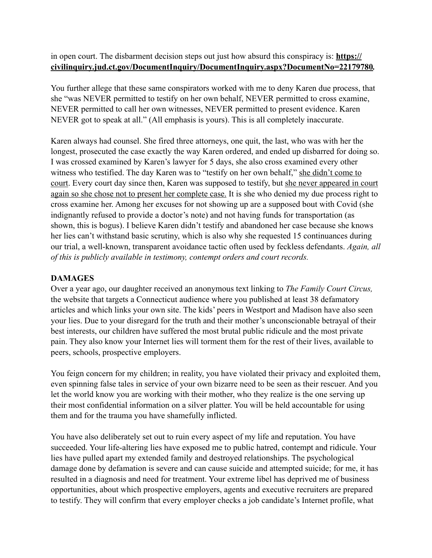in open court. The disbarment decision steps out just how absurd this conspiracy is: **https:// civilinquiry.jud.ct.gov/DocumentInquiry/DocumentInquiry.aspx?DocumentNo=22179780***.* 

You further allege that these same conspirators worked with me to deny Karen due process, that she "was NEVER permitted to testify on her own behalf, NEVER permitted to cross examine, NEVER permitted to call her own witnesses, NEVER permitted to present evidence. Karen NEVER got to speak at all." (All emphasis is yours). This is all completely inaccurate.

Karen always had counsel. She fired three attorneys, one quit, the last, who was with her the longest, prosecuted the case exactly the way Karen ordered, and ended up disbarred for doing so. I was crossed examined by Karen's lawyer for 5 days, she also cross examined every other witness who testified. The day Karen was to "testify on her own behalf," she didn't come to court. Every court day since then, Karen was supposed to testify, but she never appeared in court again so she chose not to present her complete case. It is she who denied my due process right to cross examine her. Among her excuses for not showing up are a supposed bout with Covid (she indignantly refused to provide a doctor's note) and not having funds for transportation (as shown, this is bogus). I believe Karen didn't testify and abandoned her case because she knows her lies can't withstand basic scrutiny, which is also why she requested 15 continuances during our trial, a well-known, transparent avoidance tactic often used by feckless defendants. *Again, all of this is publicly available in testimony, contempt orders and court records.*

### **DAMAGES**

Over a year ago, our daughter received an anonymous text linking to *The Family Court Circus,*  the website that targets a Connecticut audience where you published at least 38 defamatory articles and which links your own site. The kids' peers in Westport and Madison have also seen your lies. Due to your disregard for the truth and their mother's unconscionable betrayal of their best interests, our children have suffered the most brutal public ridicule and the most private pain. They also know your Internet lies will torment them for the rest of their lives, available to peers, schools, prospective employers.

You feign concern for my children; in reality, you have violated their privacy and exploited them, even spinning false tales in service of your own bizarre need to be seen as their rescuer. And you let the world know you are working with their mother, who they realize is the one serving up their most confidential information on a silver platter. You will be held accountable for using them and for the trauma you have shamefully inflicted.

You have also deliberately set out to ruin every aspect of my life and reputation. You have succeeded. Your life-altering lies have exposed me to public hatred, contempt and ridicule. Your lies have pulled apart my extended family and destroyed relationships. The psychological damage done by defamation is severe and can cause suicide and attempted suicide; for me, it has resulted in a diagnosis and need for treatment. Your extreme libel has deprived me of business opportunities, about which prospective employers, agents and executive recruiters are prepared to testify. They will confirm that every employer checks a job candidate's Internet profile, what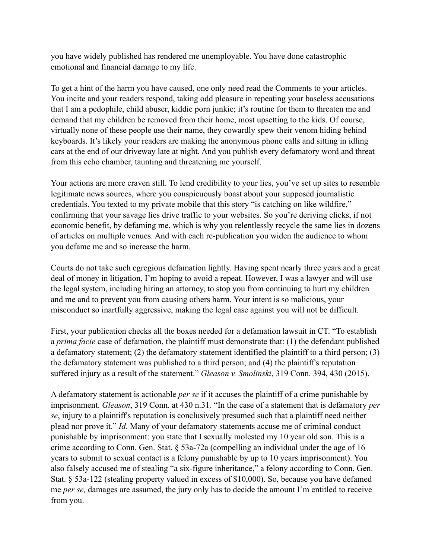you have widely published has rendered me unemployable. You have done catastrophic emotional and financial damage to my life.

To get a hint of the harm you have caused, one only need read the Comments to your articles. You incite and your readers respond, taking odd pleasure in repeating your baseless accusations that I am a pedophile, child abuser, kiddie porn junkie; it's routine for them to threaten me and demand that my children be removed from their home, most upsetting to the kids. Of course, virtually none of these people use their name, they cowardly spew their venom hiding behind keyboards. It's likely your readers are making the anonymous phone calls and sitting in idling cars at the end of our driveway late at night. And you publish every defamatory word and threat from this echo chamber, taunting and threatening me yourself.

Your actions are more craven still. To lend credibility to your lies, you've set up sites to resemble legitimate news sources, where you conspicuously boast about your supposed journalistic credentials. You texted to my private mobile that this story "is catching on like wildfire," confirming that your savage lies drive traffic to your websites. So you're deriving clicks, if not economic benefit, by defaming me, which is why you relentlessly recycle the same lies in dozens of articles on multiple venues. And with each re-publication you widen the audience to whom you defame me and so increase the harm.

Courts do not take such egregious defamation lightly. Having spent nearly three years and a great deal of money in litigation, I'm hoping to avoid a repeat. However, I was a lawyer and will use the legal system, including hiring an attorney, to stop you from continuing to hurt my children and me and to prevent you from causing others harm. Your intent is so malicious, your misconduct so inartfully aggressive, making the legal case against you will not be difficult.

First, your publication checks all the boxes needed for a defamation lawsuit in CT. "To establish a *prima facie* case of defamation, the plaintiff must demonstrate that: (1) the defendant published a defamatory statement; (2) the defamatory statement identified the plaintiff to a third person; (3) the defamatory statement was published to a third person; and (4) the plaintiff's reputation suffered injury as a result of the statement." *Gleason v. Smolinski*, 319 Conn. 394, 430 (2015).

A defamatory statement is actionable *per se* if it accuses the plaintiff of a crime punishable by imprisonment. *Gleason*, 319 Conn. at 430 n.31. "In the case of a statement that is defamatory *per se*, injury to a plaintiff's reputation is conclusively presumed such that a plaintiff need neither plead nor prove it." *Id*. Many of your defamatory statements accuse me of criminal conduct punishable by imprisonment: you state that I sexually molested my 10 year old son. This is a crime according to Conn. Gen. Stat. § 53a-72a (compelling an individual under the age of 16 years to submit to sexual contact is a felony punishable by up to 10 years imprisonment). You also falsely accused me of stealing "a six-figure inheritance," a felony according to Conn. Gen. Stat. § 53a-122 (stealing property valued in excess of \$10,000). So, because you have defamed me *per se,* damages are assumed, the jury only has to decide the amount I'm entitled to receive from you.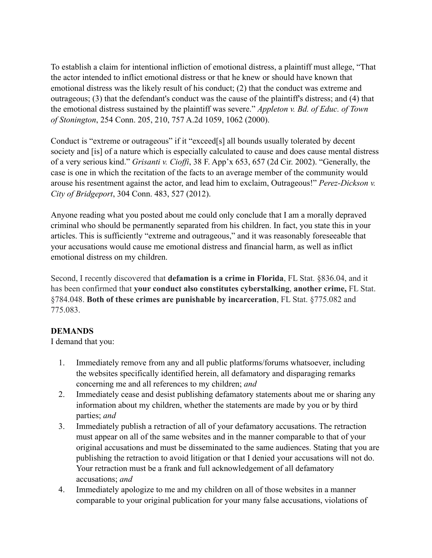To establish a claim for intentional infliction of emotional distress, a plaintiff must allege, "That the actor intended to inflict emotional distress or that he knew or should have known that emotional distress was the likely result of his conduct; (2) that the conduct was extreme and outrageous; (3) that the defendant's conduct was the cause of the plaintiff's distress; and (4) that the emotional distress sustained by the plaintiff was severe." *Appleton v. Bd. of Educ. of Town of Stonington*, 254 Conn. 205, 210, 757 A.2d 1059, 1062 (2000).

Conduct is "extreme or outrageous" if it "exceed[s] all bounds usually tolerated by decent society and [is] of a nature which is especially calculated to cause and does cause mental distress of a very serious kind." *Grisanti v. Cioffi*, 38 F. App'x 653, 657 (2d Cir. 2002). "Generally, the case is one in which the recitation of the facts to an average member of the community would arouse his resentment against the actor, and lead him to exclaim, Outrageous!" *Perez-Dickson v. City of Bridgeport*, 304 Conn. 483, 527 (2012).

Anyone reading what you posted about me could only conclude that I am a morally depraved criminal who should be permanently separated from his children. In fact, you state this in your articles. This is sufficiently "extreme and outrageous," and it was reasonably foreseeable that your accusations would cause me emotional distress and financial harm, as well as inflict emotional distress on my children.

Second, I recently discovered that **defamation is a crime in Florida**, FL Stat. §836.04, and it has been confirmed that **your conduct also constitutes cyberstalking**, **another crime,** FL Stat. §784.048. **Both of these crimes are punishable by incarceration**, FL Stat. §775.082 and 775.083.

#### **DEMANDS**

I demand that you:

- 1. Immediately remove from any and all public platforms/forums whatsoever, including the websites specifically identified herein, all defamatory and disparaging remarks concerning me and all references to my children; *and*
- 2. Immediately cease and desist publishing defamatory statements about me or sharing any information about my children, whether the statements are made by you or by third parties; *and*
- 3. Immediately publish a retraction of all of your defamatory accusations. The retraction must appear on all of the same websites and in the manner comparable to that of your original accusations and must be disseminated to the same audiences. Stating that you are publishing the retraction to avoid litigation or that I denied your accusations will not do. Your retraction must be a frank and full acknowledgement of all defamatory accusations; *and*
- 4. Immediately apologize to me and my children on all of those websites in a manner comparable to your original publication for your many false accusations, violations of